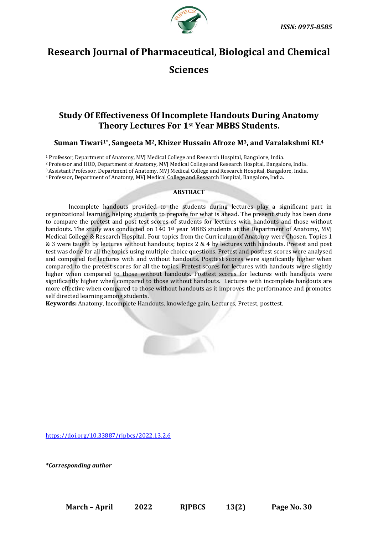

# **Research Journal of Pharmaceutical, Biological and Chemical**

## **Sciences**

### **Study Of Effectiveness Of Incomplete Handouts During Anatomy Theory Lectures For 1st Year MBBS Students.**

### **Suman Tiwari1\* , Sangeeta M2, Khizer Hussain Afroze M3, and Varalakshmi KL<sup>4</sup>**

 Professor, Department of Anatomy, MVJ Medical College and Research Hospital, Bangalore, India. Professor and HOD, Department of Anatomy, MVJ Medical College and Research Hospital, Bangalore, India. Assistant Professor, Department of Anatomy, MVJ Medical College and Research Hospital, Bangalore, India. Professor, Department of Anatomy, MVJ Medical College and Research Hospital, Bangalore, India.

#### **ABSTRACT**

Incomplete handouts provided to the students during lectures play a significant part in organizational learning, helping students to prepare for what is ahead. The present study has been done to compare the pretest and post test scores of students for lectures with handouts and those without handouts. The study was conducted on 140 1<sup>st</sup> year MBBS students at the Department of Anatomy, MVJ Medical College & Research Hospital. Four topics from the Curriculum of Anatomy were Chosen. Topics 1 & 3 were taught by lectures without handouts; topics 2 & 4 by lectures with handouts. Pretest and post test was done for all the topics using multiple choice questions. Pretest and posttest scores were analysed and compared for lectures with and without handouts. Posttest scores were significantly higher when compared to the pretest scores for all the topics. Pretest scores for lectures with handouts were slightly higher when compared to those without handouts. Posttest scores for lectures with handouts were significantly higher when compared to those without handouts. Lectures with incomplete handouts are more effective when compared to those without handouts as it improves the performance and promotes self directed learning among students.

**Keywords:** Anatomy, Incomplete Handouts, knowledge gain, Lectures, Pretest, posttest.

<https://doi.org/10.33887/rjpbcs/2022.13.2.6>

*\*Corresponding author*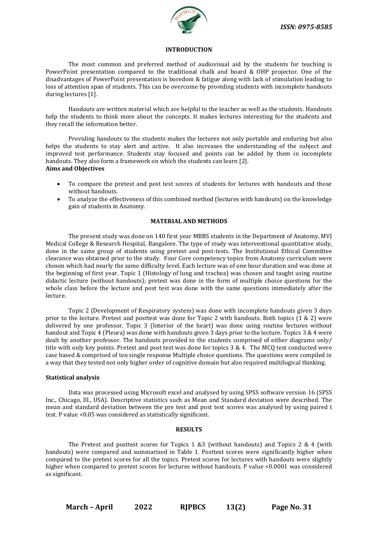

#### **INTRODUCTION**

The most common and preferred method of audiovisual aid by the students for teaching is PowerPoint presentation compared to the traditional chalk and board & OHP projector. One of the disadvantages of PowerPoint presentation is boredom & fatigue along with lack of stimulation leading to loss of attention span of students. This can be overcome by providing students with incomplete handouts during lectures [1].

Handouts are written material which are helpful to the teacher as well as the students. Handouts help the students to think more about the concepts. It makes lectures interesting for the students and they recall the information better.

Providing handouts to the students makes the lectures not only portable and enduring but also helps the students to stay alert and active. It also increases the understanding of the subject and improved test performance. Students stay focused and points can be added by them in incomplete handouts. They also form a framework on which the students can learn [2]. **Aims and Objectives**

- To compare the pretest and post test scores of students for lectures with handouts and those without handouts.
- To analyze the effectiveness of this combined method (lectures with handouts) on the knowledge gain of students in Anatomy.

#### **MATERIAL AND METHODS**

The present study was done on 140 first year MBBS students in the Department of Anatomy, MVJ Medical College & Research Hospital, Bangalore. The type of study was interventional quantitative study, done in the same group of students using pretest and post-tests. The Institutional Ethical Committee clearance was obtained prior to the study. Four Core competency topics from Anatomy curriculum were chosen which had nearly the same difficulty level. Each lecture was of one hour duration and was done at the beginning of first year. Topic 1 (Histology of lung and trachea) was chosen and taught using routine didactic lecture (without handouts); pretest was done in the form of multiple choice questions for the whole class before the lecture and post test was done with the same questions immediately after the lecture.

Topic 2 (Development of Respiratory system) was done with incomplete handouts given 3 days prior to the lecture. Pretest and posttest was done for Topic 2 with handouts. Both topics (1 & 2) were delivered by one professor. Topic 3 (Interior of the heart) was done using routine lectures without handout and Topic 4 (Pleura) was done with handouts given 3 days prior to the lecture. Topics 3 & 4 were dealt by another professor. The handouts provided to the students comprised of either diagrams only/ title with only key points. Pretest and post test was done for topics 3 & 4. The MCQ test conducted were case based & comprised of ten single response Multiple choice questions. The questions were compiled in a way that they tested not only higher order of cognitive domain but also required multilogical thinking.

#### **Statistical analysis**

Data was processed using Microsoft excel and analysed by using SPSS software version 16 (SPSS Inc., Chicago, Ill., USA). Descriptive statistics such as Mean and Standard deviation were described. The mean and standard deviation between the pre test and post test scores was analysed by using paired t test. P value <0.05 was considered as statistically significant.

#### **RESULTS**

The Pretest and posttest scores for Topics 1 &3 (without handouts) and Topics 2 & 4 (with handouts) were compared and summarized in Table 1. Posttest scores were significantly higher when compared to the pretest scores for all the topics. Pretest scores for lectures with handouts were slightly higher when compared to pretest scores for lectures without handouts. P value <0.0001 was considered as significant.

**March – April 2022 RJPBCS 13(2) Page No. 31**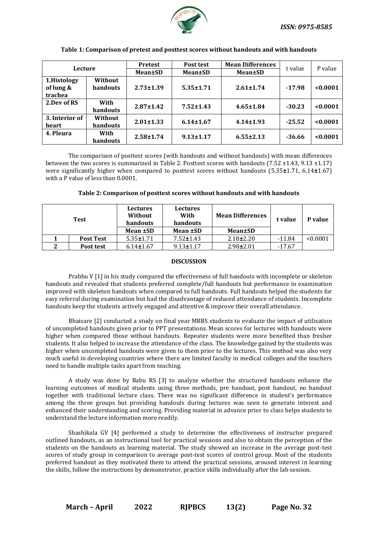

| Lecture        |                | <b>Pretest</b>  | Post test       | <b>Mean Differences</b> | t value  | P value  |
|----------------|----------------|-----------------|-----------------|-------------------------|----------|----------|
|                |                | Mean±SD         | Mean±SD         | <b>Mean</b> ±SD         |          |          |
| 1.Histology    | Without        |                 |                 |                         |          |          |
| of lung &      | handouts       | $2.73 \pm 1.39$ | $5.35 \pm 1.71$ | $2.61 \pm 1.74$         | $-17.98$ | < 0.0001 |
| trachea        |                |                 |                 |                         |          |          |
| 2.Dev of RS    | With           | $2.87 \pm 1.42$ | $7.52 \pm 1.43$ | $4.65 \pm 1.84$         | $-30.23$ | < 0.0001 |
|                | handouts       |                 |                 |                         |          |          |
| 3. Interior of | <b>Without</b> | $2.01 \pm 1.33$ | $6.14 \pm 1.67$ | $4.14 \pm 1.93$         | $-25.52$ | < 0.0001 |
| heart          | handouts       |                 |                 |                         |          |          |
| 4. Pleura      | With           | $2.58 \pm 1.74$ | $9.13 \pm 1.17$ |                         |          | < 0.0001 |
|                | handouts       |                 |                 | $6.55 \pm 2.13$         | $-36.66$ |          |

#### **Table 1: Comparison of pretest and posttest scores without handouts and with handouts**

The comparison of posttest scores (with handouts and without handouts) with mean differences between the two scores is summarized in Table 2. Posttest scores with handouts (7.52 ±1.43, 9.13 ±1.17) were significantly higher when compared to posttest scores without handouts (5.35**±**1.71, 6.14**±**1.67) with a P value of less than 0.0001.

**Table 2: Comparison of posttest scores without handouts and with handouts**

| Test |                  | <b>Lectures</b><br>Without<br>handouts | Lectures<br>With<br>handouts | <b>Mean Differences</b> | t value  | P value  |
|------|------------------|----------------------------------------|------------------------------|-------------------------|----------|----------|
|      |                  | Mean ±SD                               | Mean ±SD                     | <b>Mean±SD</b>          |          |          |
|      | <b>Post Test</b> | $5.35 \pm 1.71$                        | $7.52 \pm 1.43$              | $2.18 \pm 2.20$         | $-11.84$ | < 0.0001 |
|      | Post test        | $6.14 \pm 1.67$                        | $9.13 \pm 1.17$              | $2.98 \pm 2.01$         | $-17.67$ |          |

#### **DISCUSSION**

Prabhu V [1] in his study compared the effectiveness of full handouts with incomplete or skeleton handouts and revealed that students preferred complete/full handouts but performance in examination improved with skeleton handouts when compared to full handouts. Full handouts helped the students for easy referral during examination but had the disadvantage of reduced attendance of students. Incomplete handouts keep the students actively engaged and attentive & improve their overall attendance.

Bhaisare [2] conducted a study on final year MBBS students to evaluate the impact of utilisation of uncompleted handouts given prior to PPT presentations. Mean scores for lectures with handouts were higher when compared those without handouts. Repeater students were more benefited than fresher students. It also helped to increase the attendance of the class. The knowledge gained by the students was higher when uncompleted handouts were given to them prior to the lectures. This method was also very much useful in developing countries where there are limited faculty in medical colleges and the teachers need to handle multiple tasks apart from teaching.

A study was done by Babu RS [3] to analyze whether the structured handouts enhance the learning outcomes of medical students using three methods, pre handout, post handout, no handout together with traditional lecture class. There was no significant difference in student's performance among the three groups but providing handouts during lectures was seen to generate interest and enhanced their understanding and scoring. Providing material in advance prior to class helps students to understand the lecture information more readily.

Shashikala GV [4] performed a study to determine the effectiveness of instructor prepared outlined handouts, as an instructional tool for practical sessions and also to obtain the perception of the students on the handouts as learning material. The study showed an increase in the average post-test scores of study group in comparison to average post-test scores of control group. Most of the students preferred handout as they motivated them to attend the practical sessions, aroused interest in learning the skills, follow the instructions by demonstrator, practice skills individually after the lab session.

**March – April 2022 RJPBCS 13(2) Page No. 32**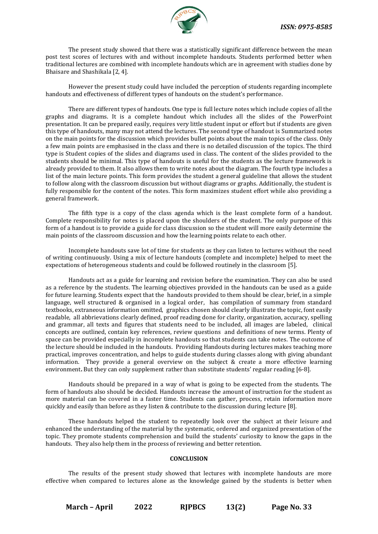

The present study showed that there was a statistically significant difference between the mean post test scores of lectures with and without incomplete handouts. Students performed better when traditional lectures are combined with incomplete handouts which are in agreement with studies done by Bhaisare and Shashikala [2, 4].

However the present study could have included the perception of students regarding incomplete handouts and effectiveness of different types of handouts on the student's performance.

There are different types of handouts. One type is full lecture notes which include copies of all the graphs and diagrams. It is a complete handout which includes all the slides of the PowerPoint presentation. It can be prepared easily, requires very little student input or effort but if students are given this type of handouts, many may not attend the lectures. The second type of handout is Summarized notes on the main points for the discussion which provides bullet points about the main topics of the class. Only a few main points are emphasised in the class and there is no detailed discussion of the topics. The third type is Student copies of the slides and diagrams used in class. The content of the slides provided to the students should be minimal. This type of handouts is useful for the students as the lecture framework is already provided to them. It also allows them to write notes about the diagram. The fourth type includes a list of the main lecture points. This form provides the student a general guideline that allows the student to follow along with the classroom discussion but without diagrams or graphs. Additionally, the student is fully responsible for the content of the notes. This form maximizes student effort while also providing a general framework.

The fifth type is a copy of the class agenda which is the least complete form of a handout. Complete responsibility for notes is placed upon the shoulders of the student. The only purpose of this form of a handout is to provide a guide for class discussion so the student will more easily determine the main points of the classroom discussion and how the learning points relate to each other.

Incomplete handouts save lot of time for students as they can listen to lectures without the need of writing continuously. Using a mix of lecture handouts (complete and incomplete) helped to meet the expectations of heterogeneous students and could be followed routinely in the classroom [5].

Handouts act as a guide for learning and revision before the examination. They can also be used as a reference by the students. The learning objectives provided in the handouts can be used as a guide for future learning. Students expect that the handouts provided to them should be clear, brief, in a simple language, well structured & organised in a logical order, has compilation of summary from standard textbooks, extraneous information omitted, graphics chosen should clearly illustrate the topic, font easily readable, all abbrievations clearly defined, proof reading done for clarity, organization, accuracy, spelling and grammar, all texts and figures that students need to be included, all images are labeled, clinical concepts are outlined, contain key references, review questions and definitions of new terms. Plenty of space can be provided especially in incomplete handouts so that students can take notes. The outcome of the lecture should be included in the handouts. Providing Handouts during lectures makes teaching more practical, improves concentration, and helps to guide students during classes along with giving abundant information. They provide a general overview on the subject & create a more effective learning environment. But they can only supplement rather than substitute students' regular reading [6-8].

Handouts should be prepared in a way of what is going to be expected from the students. The form of handouts also should be decided. Handouts increase the amount of instruction for the student as more material can be covered in a faster time. Students can gather, process, retain information more quickly and easily than before as they listen & contribute to the discussion during lecture [8].

These handouts helped the student to repeatedly look over the subject at their leisure and enhanced the understanding of the material by the systematic, ordered and organized presentation of the topic. They promote students comprehension and build the students' curiosity to know the gaps in the handouts. They also help them in the process of reviewing and better retention.

#### **CONCLUSION**

The results of the present study showed that lectures with incomplete handouts are more effective when compared to lectures alone as the knowledge gained by the students is better when